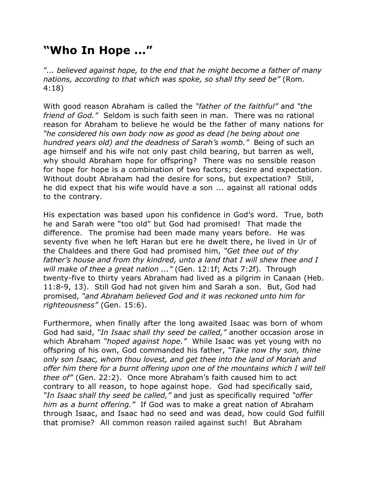## **"Who In Hope ..."**

*"... believed against hope, to the end that he might become a father of many nations, according to that which was spoke, so shall thy seed be"* (Rom. 4:18)

With good reason Abraham is called the *"father of the faithful"* and *"the friend of God."* Seldom is such faith seen in man. There was no rational reason for Abraham to believe he would be the father of many nations for *"he considered his own body now as good as dead (he being about one hundred years old) and the deadness of Sarah's womb."* Being of such an age himself and his wife not only past child bearing, but barren as well, why should Abraham hope for offspring? There was no sensible reason for hope for hope is a combination of two factors; desire and expectation. Without doubt Abraham had the desire for sons, but expectation? Still, he did expect that his wife would have a son ... against all rational odds to the contrary.

His expectation was based upon his confidence in God's word. True, both he and Sarah were "too old" but God had promised! That made the difference. The promise had been made many years before. He was seventy five when he left Haran but ere he dwelt there, he lived in Ur of the Chaldees and there God had promised him, *"Get thee out of thy father's house and from thy kindred, unto a land that I will shew thee and I will make of thee a great nation ..."* (Gen. 12:1f; Acts 7:2f). Through twenty-five to thirty years Abraham had lived as a pilgrim in Canaan (Heb. 11:8-9, 13). Still God had not given him and Sarah a son. But, God had promised, *"and Abraham believed God and it was reckoned unto him for righteousness"* (Gen. 15:6).

Furthermore, when finally after the long awaited Isaac was born of whom God had said, *"In Isaac shall thy seed be called,"* another occasion arose in which Abraham *"hoped against hope."* While Isaac was yet young with no offspring of his own, God commanded his father, *"Take now thy son, thine only son Isaac, whom thou lovest, and get thee into the land of Moriah and offer him there for a burnt offering upon one of the mountains which I will tell thee of"* (Gen. 22:2). Once more Abraham's faith caused him to act contrary to all reason, to hope against hope. God had specifically said, *"In Isaac shall thy seed be called,"* and just as specifically required *"offer him as a burnt offering."* If God was to make a great nation of Abraham through Isaac, and Isaac had no seed and was dead, how could God fulfill that promise? All common reason railed against such! But Abraham